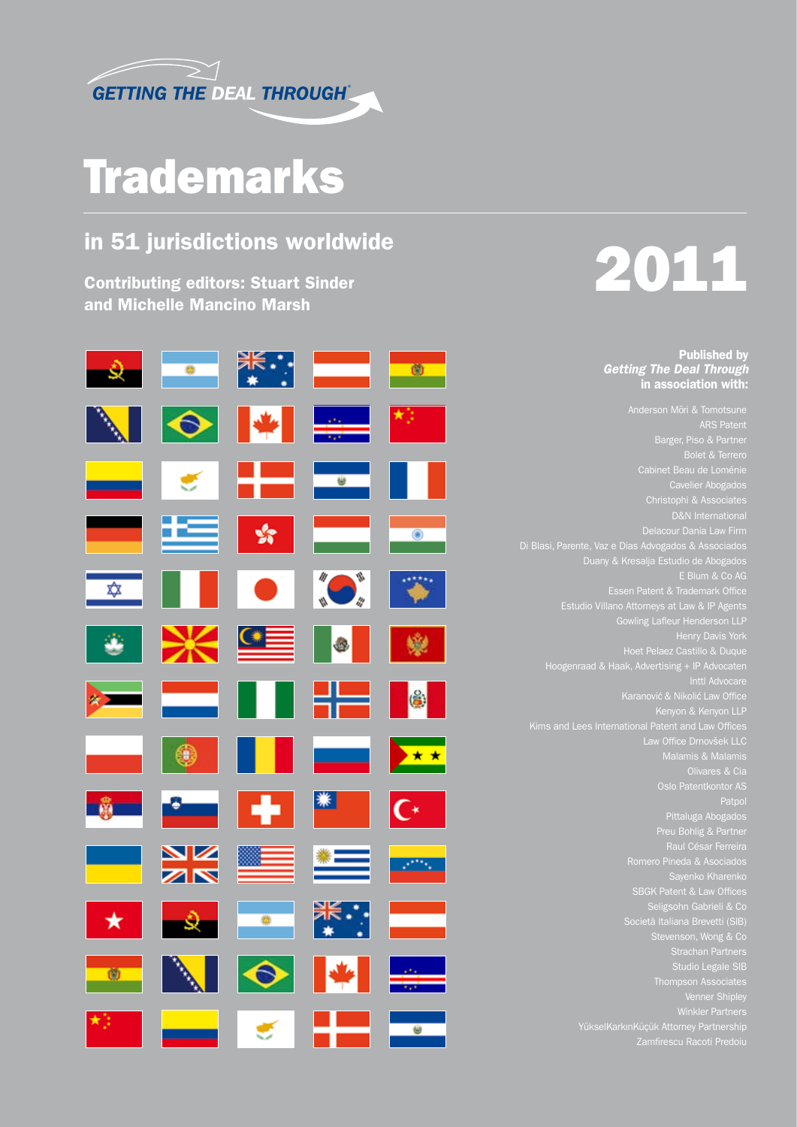

## **Trademarks**

### in 51 jurisdictions worldwide

Contributing editors: Stuart Sinder and Michelle Mancino Marsh



# 2011

Published by *Getting The Deal Through* in association with:

ARS Patent Barger, Piso & Partner Bolet & Terrero Cabinet Beau de Loménie Christophi & Associates Delacour Dania Law Firm Di Blasi, Parente, Vaz e Dias Advogados & Associados Duany & Kresalja Estudio de Abogados E Blum & Co AG<br>E Blum & Co AG<br>Essen Patent & Trademark Office Essen Patent & Trademark Office Estudio Villano Attorneys at Law & IP Agents Gowling Lafleur Henderson LLP Hoet Pelaez Castillo & Duque Hoogenraad & Haak, Advertising + IP Advocaten Inttl Advocare<br>Inttl Advocare<br>Karanović & Nikolić Law Office Karanović & Nikolić Law Office Kenyon & Kenyon LLP Kims and Lees International Patent and Law Offices Law Office Drnovšek LLC Malamis & Malamis Olivares & Cia Oslo Patentkontor AS Patpol Pittaluga Abogados Preu Bohlig & Partner Romero Pineda & Asociados SBGK Patent & Law Offices Seligsohn Gabrieli & Co Studio Legale SIB Venner Shipley

Zamfirescu Racoti Predoiu